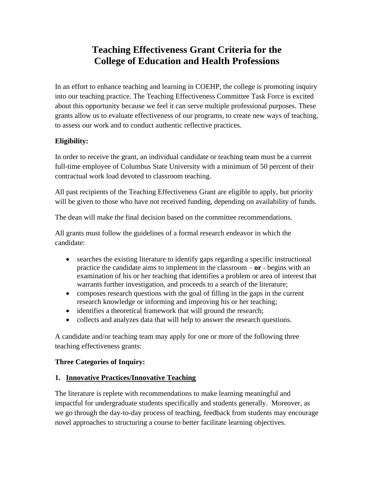# **Teaching Effectiveness Grant Criteria for the College of Education and Health Professions**

In an effort to enhance teaching and learning in COEHP, the college is promoting inquiry into our teaching practice. The Teaching Effectiveness Committee Task Force is excited about this opportunity because we feel it can serve multiple professional purposes. These grants allow us to evaluate effectiveness of our programs, to create new ways of teaching, to assess our work and to conduct authentic reflective practices.

## **Eligibility:**

In order to receive the grant, an individual candidate or teaching team must be a current full-time employee of Columbus State University with a minimum of 50 percent of their contractual work load devoted to classroom teaching.

All past recipients of the Teaching Effectiveness Grant are eligible to apply, but priority will be given to those who have not received funding, depending on availability of funds.

The dean will make the final decision based on the committee recommendations.

All grants must follow the guidelines of a formal research endeavor in which the candidate:

- searches the existing literature to identify gaps regarding a specific instructional practice the candidate aims to implement in the classroom – **or** - begins with an examination of his or her teaching that identifies a problem or area of interest that warrants further investigation, and proceeds to a search of the literature;
- composes research questions with the goal of filling in the gaps in the current research knowledge or informing and improving his or her teaching;
- identifies a theoretical framework that will ground the research;
- collects and analyzes data that will help to answer the research questions.

A candidate and/or teaching team may apply for one or more of the following three teaching effectiveness grants:

### **Three Categories of Inquiry:**

#### **1. Innovative Practices/Innovative Teaching**

The literature is replete with recommendations to make learning meaningful and impactful for undergraduate students specifically and students generally. Moreover, as we go through the day-to-day process of teaching, feedback from students may encourage novel approaches to structuring a course to better facilitate learning objectives.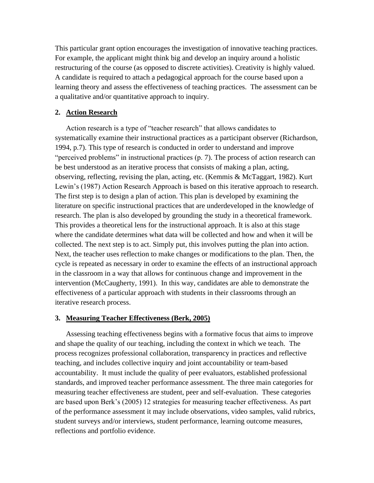This particular grant option encourages the investigation of innovative teaching practices. For example, the applicant might think big and develop an inquiry around a holistic restructuring of the course (as opposed to discrete activities). Creativity is highly valued. A candidate is required to attach a pedagogical approach for the course based upon a learning theory and assess the effectiveness of teaching practices. The assessment can be a qualitative and/or quantitative approach to inquiry.

#### **2. Action Research**

Action research is a type of "teacher research" that allows candidates to systematically examine their instructional practices as a participant observer (Richardson, 1994, p.7). This type of research is conducted in order to understand and improve "perceived problems" in instructional practices (p. 7). The process of action research can be best understood as an iterative process that consists of making a plan, acting, observing, reflecting, revising the plan, acting, etc. (Kemmis & McTaggart, 1982). Kurt Lewin's (1987) Action Research Approach is based on this iterative approach to research. The first step is to design a plan of action. This plan is developed by examining the literature on specific instructional practices that are underdeveloped in the knowledge of research. The plan is also developed by grounding the study in a theoretical framework. This provides a theoretical lens for the instructional approach. It is also at this stage where the candidate determines what data will be collected and how and when it will be collected. The next step is to act. Simply put, this involves putting the plan into action. Next, the teacher uses reflection to make changes or modifications to the plan. Then, the cycle is repeated as necessary in order to examine the effects of an instructional approach in the classroom in a way that allows for continuous change and improvement in the intervention (McCaugherty, 1991). In this way, candidates are able to demonstrate the effectiveness of a particular approach with students in their classrooms through an iterative research process.

#### **3. Measuring Teacher Effectiveness (Berk, 2005)**

Assessing teaching effectiveness begins with a formative focus that aims to improve and shape the quality of our teaching, including the context in which we teach. The process recognizes professional collaboration, transparency in practices and reflective teaching, and includes collective inquiry and joint accountability or team-based accountability. It must include the quality of peer evaluators, established professional standards, and improved teacher performance assessment. The three main categories for measuring teacher effectiveness are student, peer and self-evaluation. These categories are based upon Berk's (2005) 12 strategies for measuring teacher effectiveness. As part of the performance assessment it may include observations, video samples, valid rubrics, student surveys and/or interviews, student performance, learning outcome measures, reflections and portfolio evidence.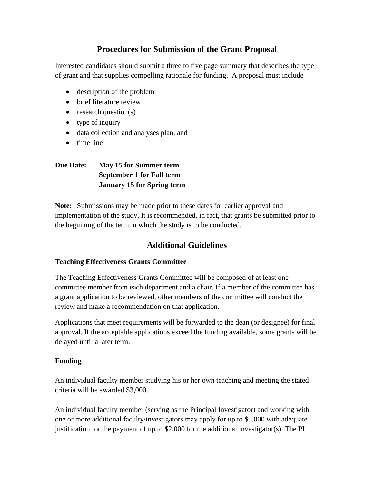## **Procedures for Submission of the Grant Proposal**

Interested candidates should submit a three to five page summary that describes the type of grant and that supplies compelling rationale for funding. A proposal must include

- description of the problem
- brief literature review
- $\bullet$  research question(s)
- type of inquiry
- data collection and analyses plan, and
- time line

## **Due Date: May 15 for Summer term September 1 for Fall term January 15 for Spring term**

**Note:** Submissions may be made prior to these dates for earlier approval and implementation of the study. It is recommended, in fact, that grants be submitted prior to the beginning of the term in which the study is to be conducted.

## **Additional Guidelines**

#### **Teaching Effectiveness Grants Committee**

The Teaching Effectiveness Grants Committee will be composed of at least one committee member from each department and a chair. If a member of the committee has a grant application to be reviewed, other members of the committee will conduct the review and make a recommendation on that application.

Applications that meet requirements will be forwarded to the dean (or designee) for final approval. If the acceptable applications exceed the funding available, some grants will be delayed until a later term.

### **Funding**

An individual faculty member studying his or her own teaching and meeting the stated criteria will be awarded \$3,000.

An individual faculty member (serving as the Principal Investigator) and working with one or more additional faculty/investigators may apply for up to \$5,000 with adequate justification for the payment of up to \$2,000 for the additional investigator(s). The PI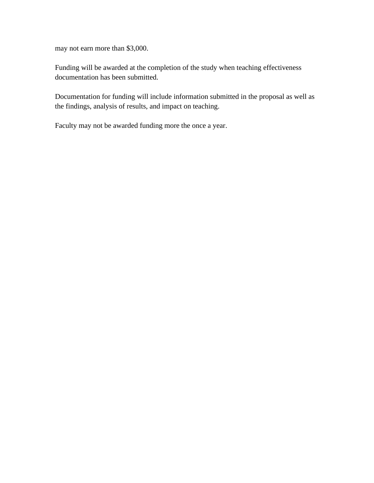may not earn more than \$3,000.

Funding will be awarded at the completion of the study when teaching effectiveness documentation has been submitted.

Documentation for funding will include information submitted in the proposal as well as the findings, analysis of results, and impact on teaching.

Faculty may not be awarded funding more the once a year.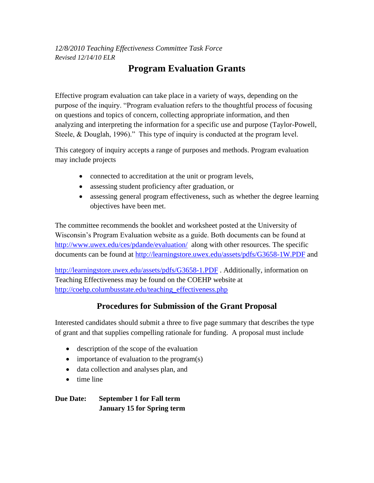# *12/8/2010 Teaching Effectiveness Committee Task Force Revised 12/14/10 ELR*

# **Program Evaluation Grants**

Effective program evaluation can take place in a variety of ways, depending on the purpose of the inquiry. "Program evaluation refers to the thoughtful process of focusing on questions and topics of concern, collecting appropriate information, and then analyzing and interpreting the information for a specific use and purpose (Taylor-Powell, Steele, & Douglah, 1996)." This type of inquiry is conducted at the program level.

This category of inquiry accepts a range of purposes and methods. Program evaluation may include projects

- connected to accreditation at the unit or program levels,
- assessing student proficiency after graduation, or
- assessing general program effectiveness, such as whether the degree learning objectives have been met.

The committee recommends the booklet and worksheet posted at the University of Wisconsin's Program Evaluation website as a guide. Both documents can be found at <http://www.uwex.edu/ces/pdande/evaluation/>along with other resources. The specific documents can be found at<http://learningstore.uwex.edu/assets/pdfs/G3658-1W.PDF> and

<http://learningstore.uwex.edu/assets/pdfs/G3658-1.PDF> . Additionally, information on Teaching Effectiveness may be found on the COEHP website at [http://coehp.columbusstate.edu/teaching\\_effectiveness.php](http://coehp.columbusstate.edu/teaching_effectiveness.php)

# **Procedures for Submission of the Grant Proposal**

Interested candidates should submit a three to five page summary that describes the type of grant and that supplies compelling rationale for funding. A proposal must include

- description of the scope of the evaluation
- importance of evaluation to the program(s)
- data collection and analyses plan, and
- time line

**Due Date: September 1 for Fall term January 15 for Spring term**